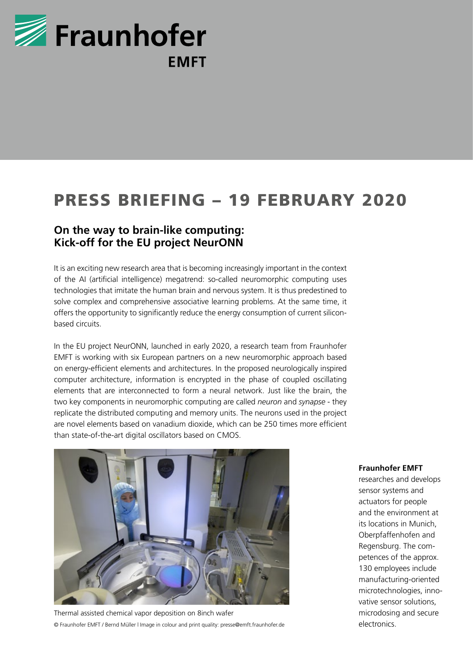

## PRESS BRIEFING – 19 FEBRUARY 2020

## **On the way to brain-like computing: Kick-off for the EU project NeurONN**

It is an exciting new research area that is becoming increasingly important in the context of the AI (artificial intelligence) megatrend: so-called neuromorphic computing uses technologies that imitate the human brain and nervous system. It is thus predestined to solve complex and comprehensive associative learning problems. At the same time, it offers the opportunity to significantly reduce the energy consumption of current siliconbased circuits.

In the EU project NeurONN, launched in early 2020, a research team from Fraunhofer EMFT is working with six European partners on a new neuromorphic approach based on energy-efficient elements and architectures. In the proposed neurologically inspired computer architecture, information is encrypted in the phase of coupled oscillating elements that are interconnected to form a neural network. Just like the brain, the two key components in neuromorphic computing are called *neuron* and *synapse* - they replicate the distributed computing and memory units. The neurons used in the project are novel elements based on vanadium dioxide, which can be 250 times more efficient than state-of-the-art digital oscillators based on CMOS.



Thermal assisted chemical vapor deposition on 8inch wafer © Fraunhofer EMFT / Bernd Müller l Image in colour and print quality: presse@emft.fraunhofer.de

## **Fraunhofer EMFT**

researches and develops sensor systems and actuators for people and the environment at its locations in Munich, Oberpfaffenhofen and Regensburg. The competences of the approx. 130 employees include manufacturing-oriented microtechnologies, innovative sensor solutions, microdosing and secure electronics.